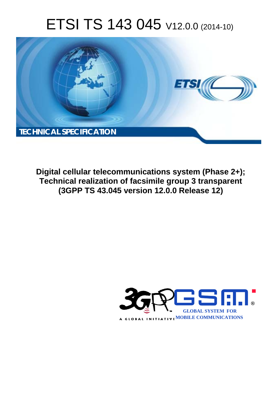# ETSI TS 143 045 V12.0.0 (2014-10)



**Digital cellular telecommunications system (Phase 2+); Technical realization of facsimile group 3 transparent (3GPP TS 43.045 version 12.0.0 Release 12)** 

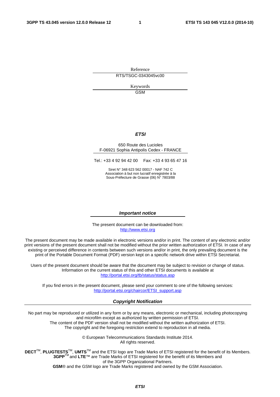Reference RTS/TSGC-0343045vc00

> Keywords GSM

#### *ETSI*

#### 650 Route des Lucioles F-06921 Sophia Antipolis Cedex - FRANCE

Tel.: +33 4 92 94 42 00 Fax: +33 4 93 65 47 16

Siret N° 348 623 562 00017 - NAF 742 C Association à but non lucratif enregistrée à la Sous-Préfecture de Grasse (06) N° 7803/88

#### *Important notice*

The present document can be downloaded from: [http://www.etsi.org](http://www.etsi.org/)

The present document may be made available in electronic versions and/or in print. The content of any electronic and/or print versions of the present document shall not be modified without the prior written authorization of ETSI. In case of any existing or perceived difference in contents between such versions and/or in print, the only prevailing document is the print of the Portable Document Format (PDF) version kept on a specific network drive within ETSI Secretariat.

Users of the present document should be aware that the document may be subject to revision or change of status. Information on the current status of this and other ETSI documents is available at <http://portal.etsi.org/tb/status/status.asp>

If you find errors in the present document, please send your comment to one of the following services: [http://portal.etsi.org/chaircor/ETSI\\_support.asp](http://portal.etsi.org/chaircor/ETSI_support.asp)

#### *Copyright Notification*

No part may be reproduced or utilized in any form or by any means, electronic or mechanical, including photocopying and microfilm except as authorized by written permission of ETSI.

The content of the PDF version shall not be modified without the written authorization of ETSI. The copyright and the foregoing restriction extend to reproduction in all media.

> © European Telecommunications Standards Institute 2014. All rights reserved.

**DECT**TM, **PLUGTESTS**TM, **UMTS**TM and the ETSI logo are Trade Marks of ETSI registered for the benefit of its Members. **3GPP**TM and **LTE**™ are Trade Marks of ETSI registered for the benefit of its Members and of the 3GPP Organizational Partners.

**GSM**® and the GSM logo are Trade Marks registered and owned by the GSM Association.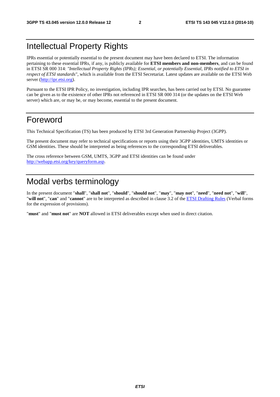# Intellectual Property Rights

IPRs essential or potentially essential to the present document may have been declared to ETSI. The information pertaining to these essential IPRs, if any, is publicly available for **ETSI members and non-members**, and can be found in ETSI SR 000 314: *"Intellectual Property Rights (IPRs); Essential, or potentially Essential, IPRs notified to ETSI in respect of ETSI standards"*, which is available from the ETSI Secretariat. Latest updates are available on the ETSI Web server ([http://ipr.etsi.org\)](http://webapp.etsi.org/IPR/home.asp).

Pursuant to the ETSI IPR Policy, no investigation, including IPR searches, has been carried out by ETSI. No guarantee can be given as to the existence of other IPRs not referenced in ETSI SR 000 314 (or the updates on the ETSI Web server) which are, or may be, or may become, essential to the present document.

### Foreword

This Technical Specification (TS) has been produced by ETSI 3rd Generation Partnership Project (3GPP).

The present document may refer to technical specifications or reports using their 3GPP identities, UMTS identities or GSM identities. These should be interpreted as being references to the corresponding ETSI deliverables.

The cross reference between GSM, UMTS, 3GPP and ETSI identities can be found under [http://webapp.etsi.org/key/queryform.asp.](http://webapp.etsi.org/key/queryform.asp)

# Modal verbs terminology

In the present document "**shall**", "**shall not**", "**should**", "**should not**", "**may**", "**may not**", "**need**", "**need not**", "**will**", "**will not**", "**can**" and "**cannot**" are to be interpreted as described in clause 3.2 of the [ETSI Drafting Rules](http://portal.etsi.org/Help/editHelp!/Howtostart/ETSIDraftingRules.aspx) (Verbal forms for the expression of provisions).

"**must**" and "**must not**" are **NOT** allowed in ETSI deliverables except when used in direct citation.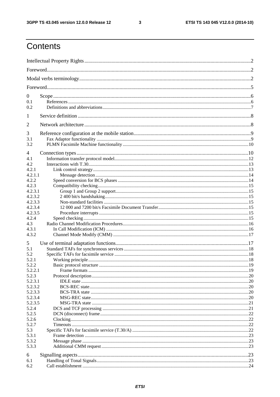$\mathbf{3}$ 

# Contents

| $\overline{0}$   |  |  |  |  |  |
|------------------|--|--|--|--|--|
| 0.1<br>0.2       |  |  |  |  |  |
| 1                |  |  |  |  |  |
|                  |  |  |  |  |  |
| 2                |  |  |  |  |  |
| 3                |  |  |  |  |  |
| 3.1<br>3.2       |  |  |  |  |  |
| 4                |  |  |  |  |  |
| 4.1              |  |  |  |  |  |
| 4.2              |  |  |  |  |  |
| 4.2.1            |  |  |  |  |  |
| 4.2.1.1          |  |  |  |  |  |
| 4.2.2            |  |  |  |  |  |
| 4.2.3<br>4.2.3.1 |  |  |  |  |  |
| 4.2.3.2          |  |  |  |  |  |
| 4.2.3.3          |  |  |  |  |  |
| 4.2.3.4          |  |  |  |  |  |
| 4.2.3.5          |  |  |  |  |  |
| 4.2.4            |  |  |  |  |  |
| 4.3              |  |  |  |  |  |
| 4.3.1            |  |  |  |  |  |
| 4.3.2            |  |  |  |  |  |
| 5                |  |  |  |  |  |
| 5.1              |  |  |  |  |  |
| 5.2              |  |  |  |  |  |
| 5.2.1            |  |  |  |  |  |
| 5.2.2            |  |  |  |  |  |
| 5.2.2.1<br>5.2.3 |  |  |  |  |  |
| 5.2.3.1          |  |  |  |  |  |
| 5.2.3.2          |  |  |  |  |  |
| 5.2.3.3          |  |  |  |  |  |
| 5.2.3.4          |  |  |  |  |  |
| 5.2.3.5          |  |  |  |  |  |
| 5.2.4            |  |  |  |  |  |
| 5.2.5            |  |  |  |  |  |
| 5.2.6            |  |  |  |  |  |
| 5.2.7            |  |  |  |  |  |
| 5.3              |  |  |  |  |  |
| 5.3.1            |  |  |  |  |  |
| 5.3.2            |  |  |  |  |  |
| 5.3.3            |  |  |  |  |  |
| 6                |  |  |  |  |  |
| 6.1              |  |  |  |  |  |
| 6.2              |  |  |  |  |  |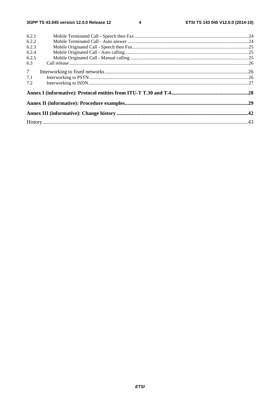$\overline{\mathbf{4}}$ 

| 6.2.1          |  |
|----------------|--|
| 6.2.2          |  |
| 6.2.3          |  |
| 6.2.4          |  |
| 6.2.5          |  |
| 6.3            |  |
| 7 <sup>7</sup> |  |
| 7.1            |  |
| 7.2            |  |
|                |  |
|                |  |
|                |  |
|                |  |
|                |  |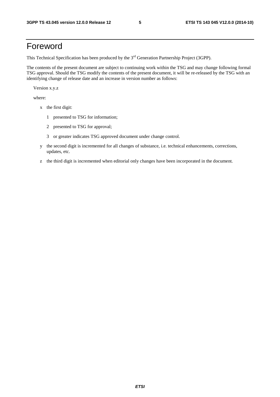# Foreword

This Technical Specification has been produced by the 3<sup>rd</sup> Generation Partnership Project (3GPP).

The contents of the present document are subject to continuing work within the TSG and may change following formal TSG approval. Should the TSG modify the contents of the present document, it will be re-released by the TSG with an identifying change of release date and an increase in version number as follows:

Version x.y.z

where:

- x the first digit:
	- 1 presented to TSG for information;
	- 2 presented to TSG for approval;
	- 3 or greater indicates TSG approved document under change control.
- y the second digit is incremented for all changes of substance, i.e. technical enhancements, corrections, updates, etc.
- z the third digit is incremented when editorial only changes have been incorporated in the document.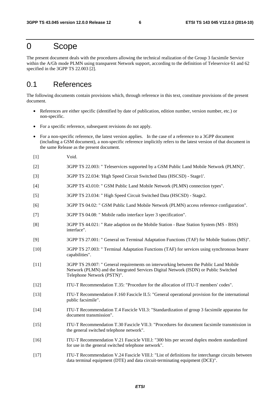### 0 Scope

The present document deals with the procedures allowing the technical realization of the Group 3 facsimile Service within the A/Gb mode PLMN using transparent Network support, according to the definition of Teleservice 61 and 62 specified in the 3GPP TS 22.003 [2].

### 0.1 References

The following documents contain provisions which, through reference in this text, constitute provisions of the present document.

- References are either specific (identified by date of publication, edition number, version number, etc.) or non-specific.
- For a specific reference, subsequent revisions do not apply.
- For a non-specific reference, the latest version applies. In the case of a reference to a 3GPP document (including a GSM document), a non-specific reference implicitly refers to the latest version of that document in the same Release as the present document.
- [1] Void.
- [2] 3GPP TS 22.003: " Teleservices supported by a GSM Public Land Mobile Network (PLMN)".
- [3] 3GPP TS 22.034: 'High Speed Circuit Switched Data (HSCSD) Stage1'.
- [4] 3GPP TS 43.010: " GSM Public Land Mobile Network (PLMN) connection types".
- [5] 3GPP TS 23.034: " High Speed Circuit Switched Data (HSCSD) Stage2.
- [6] 3GPP TS 04.02: " GSM Public Land Mobile Network (PLMN) access reference configuration".
- [7] 3GPP TS 04.08: " Mobile radio interface layer 3 specification".
- [8] 3GPP TS 44.021: " Rate adaption on the Mobile Station Base Station System (MS BSS) interface".
- [9] 3GPP TS 27.001: " General on Terminal Adaptation Functions (TAF) for Mobile Stations (MS)".
- [10] 3GPP TS 27.003: " Terminal Adaptation Functions (TAF) for services using synchronous bearer capabilities".
- [11] 3GPP TS 29.007: " General requirements on interworking between the Public Land Mobile Network (PLMN) and the Integrated Services Digital Network (ISDN) or Public Switched Telephone Network (PSTN)".
- [12] ITU-T Recommendation T.35: "Procedure for the allocation of ITU-T members' codes".
- [13] ITU-T Recommendation F.160 Fascicle II.5: "General operational provision for the international public facsimile".
- [14] ITU-T Recommendation T.4 Fascicle VII.3: "Standardization of group 3 facsimile apparatus for document transmission".
- [15] ITU-T Recommendation T.30 Fascicle VII.3: "Procedures for document facsimile transmission in the general switched telephone network".
- [16] ITU-T Recommendation V.21 Fascicle VIII.l: "300 bits per second duplex modem standardized for use in the general switched telephone network".
- [17] ITU-T Recommendation V.24 Fascicle VIII.l: "List of definitions for interchange circuits between data terminal equipment (DTE) and data circuit-terminating equipment (DCE)".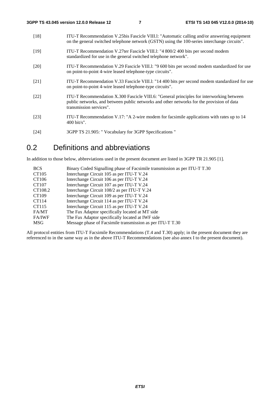| [18]   | ITU-T Recommendation V.25bis Fascicle VIII.1: "Automatic calling and/or answering equipment<br>on the general switched telephone network (GSTN) using the 100-series interchange circuits".                      |
|--------|------------------------------------------------------------------------------------------------------------------------------------------------------------------------------------------------------------------|
| $[19]$ | ITU-T Recommendation V.27ter Fascicle VIII.1: "4 800/2 400 bits per second modem<br>standardized for use in the general switched telephone network".                                                             |
| [20]   | ITU-T Recommendation V.29 Fascicle VIII.1: "9 600 bits per second modem standardized for use<br>on point-to-point 4-wire leased telephone-type circuits".                                                        |
| [21]   | ITU-T Recommendation V.33 Fascicle VIII.1: "14 400 bits per second modem standardized for use<br>on point-to-point 4-wire leased telephone-type circuits".                                                       |
| $[22]$ | ITU-T Recommendation X.300 Fascicle VIII.6: "General principles for interworking between<br>public networks, and between public networks and other networks for the provision of data<br>transmission services". |
| [23]   | ITU-T Recommendation V.17: "A 2-wire modem for facsimile applications with rates up to 14<br>$400 \text{ bit/s}$ ".                                                                                              |

[24] 3GPP TS 21.905: " Vocabulary for 3GPP Specifications "

## 0.2 Definitions and abbreviations

In addition to those below, abbreviations used in the present document are listed in 3GPP TR 21.905 [1].

| <b>BCS</b>    | Binary Coded Signalling phase of Facsimile transmission as per ITU-T T.30 |
|---------------|---------------------------------------------------------------------------|
| CT105         | Interchange Circuit 105 as per ITU-T V.24                                 |
| CT106         | Interchange Circuit 106 as per ITU-T V.24                                 |
| CT107         | Interchange Circuit 107 as per ITU-T V.24                                 |
| CT108.2       | Interchange Circuit 108/2 as per ITU-T V.24                               |
| CT109         | Interchange Circuit 109 as per ITU-T V.24                                 |
| CT114         | Interchange Circuit 114 as per ITU-T V.24                                 |
| CT115         | Interchange Circuit 115 as per ITU-T V.24                                 |
| FA/MT         | The Fax Adaptor specifically located at MT side                           |
| <b>FA/IWF</b> | The Fax Adaptor specifically located at IWF side                          |
| MSG           | Message phase of Facsimile transmission as per ITU-T T.30                 |

All protocol entities from ITU-T Facsimile Recommendations (T.4 and T.30) apply; in the present document they are referenced to in the same way as in the above ITU-T Recommendations (see also annex I to the present document).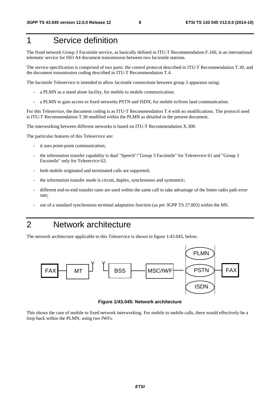# 1 Service definition

The fixed network Group 3 Facsimile service, as basically defined in ITU-T Recommendation F.160, is an international telematic service for ISO A4 document transmission between two facsimile stations.

The service specification is comprised of two parts: the control protocol described in ITU-T Recommendation T.30, and the document transmission coding described in ITU-T Recommendation T.4.

The facsimile Teleservice is intended to allow facsimile connections between group 3 apparatus using:

- a PLMN as a stand alone facility, for mobile to mobile communication;
- a PLMN to gain access to fixed networks PSTN and ISDN, for mobile to/from land communication.

For this Teleservice, the document coding is as ITU-T Recommendation T.4 with no modifications. The protocol used is ITU-T Recommendation T.30 modified within the PLMN as detailed in the present document.

The interworking between different networks is based on ITU-T Recommendation X.300.

The particular features of this Teleservice are:

- it uses point-point communication;
- the information transfer capability is dual "Speech"/"Group 3 Facsimile" for Teleservice 61 and "Group 3 Facsimile" only for Teleservice 62;
- both mobile originated and terminated calls are supported;
- the information transfer mode is circuit, duplex, synchronous and symmetric;
- different end-to-end transfer rates are used within the same call to take advantage of the better radio path error rate;
- use of a standard synchronous terminal adaptation function (as per 3GPP TS 27.003) within the MS.

# 2 Network architecture

The network architecture applicable to this Teleservice is shown in figure 1/43.045, below.



**Figure 1/43.045: Network architecture** 

This shows the case of mobile to fixed network interworking. For mobile to mobile calls, there would effectively be a loop back within the PLMN, using two IWFs.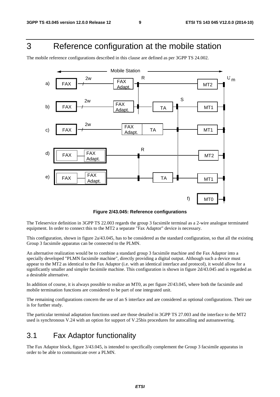# 3 Reference configuration at the mobile station

The mobile reference configurations described in this clause are defined as per 3GPP TS 24.002.



**Figure 2/43.045: Reference configurations** 

The Teleservice definition in 3GPP TS 22.003 regards the group 3 facsimile terminal as a 2-wire analogue terminated equipment. In order to connect this to the MT2 a separate "Fax Adaptor" device is necessary.

This configuration, shown in figure 2a/43.045, has to be considered as the standard configuration, so that all the existing Group 3 facsimile apparatus can be connected to the PLMN.

An alternative realization would be to combine a standard group 3 facsimile machine and the Fax Adaptor into a specially developed "PLMN facsimile machine", directly providing a digital output. Although such a device must appear to the MT2 as identical to the Fax Adaptor (i.e. with an identical interface and protocol), it would allow for a significantly smaller and simpler facsimile machine. This configuration is shown in figure 2d/43.045 and is regarded as a desirable alternative.

In addition of course, it is always possible to realize an MT0, as per figure 2f/43.045, where both the facsimile and mobile termination functions are considered to be part of one integrated unit.

The remaining configurations concern the use of an S interface and are considered as optional configurations. Their use is for further study.

The particular terminal adaptation functions used are those detailed in 3GPP TS 27.003 and the interface to the MT2 used is synchronous V.24 with an option for support of V.25bis procedures for autocalling and autoanswering.

### 3.1 Fax Adaptor functionality

The Fax Adaptor block, figure 3/43.045, is intended to specifically complement the Group 3 facsimile apparatus in order to be able to communicate over a PLMN.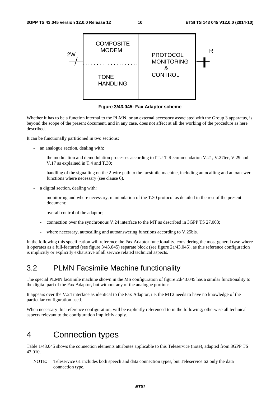

**Figure 3/43.045: Fax Adaptor scheme** 

Whether it has to be a function internal to the PLMN, or an external accessory associated with the Group 3 apparatus, is beyond the scope of the present document, and in any case, does not affect at all the working of the procedure as here described.

It can be functionally partitioned in two sections:

- an analogue section, dealing with:
	- the modulation and demodulation processes according to ITU-T Recommendation V.21, V.27ter, V.29 and V.17 as explained in T.4 and T.30;
	- handling of the signalling on the 2-wire path to the facsimile machine, including autocalling and autoanswer functions where necessary (see clause 6).
- a digital section, dealing with:
	- monitoring and where necessary, manipulation of the T.30 protocol as detailed in the rest of the present document;
	- overall control of the adaptor;
	- connection over the synchronous V.24 interface to the MT as described in 3GPP TS 27.003;
	- where necessary, autocalling and autoanswering functions according to V.25bis.

In the following this specification will reference the Fax Adaptor functionality, considering the most general case where it operates as a full-featured (see figure 3/43.045) separate block (see figure 2a/43.045), as this reference configuration is implicitly or explicitly exhaustive of all service related technical aspects.

### 3.2 PLMN Facsimile Machine functionality

The special PLMN facsimile machine shown in the MS configuration of figure 2d/43.045 has a similar functionality to the digital part of the Fax Adaptor, but without any of the analogue portions.

It appears over the V.24 interface as identical to the Fax Adaptor, i.e. the MT2 needs to have no knowledge of the particular configuration used.

When necessary this reference configuration, will be explicitly referenced to in the following; otherwise all technical aspects relevant to the configuration implicitly apply.

# 4 Connection types

Table 1/43.045 shows the connection elements attributes applicable to this Teleservice (note), adapted from 3GPP TS 43.010.

NOTE: Teleservice 61 includes both speech and data connection types, but Teleservice 62 only the data connection type.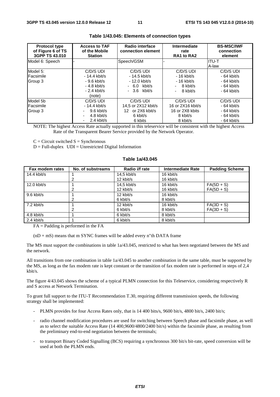| <b>Protocol type</b><br>of Figure 6 of TS<br>3GPP TS 43.010 | <b>Access to TAF</b><br>of the Mobile<br><b>Station</b> | Radio interface<br>connection element  | Intermediate<br>rate<br>RA1 to RA2 | <b>BS-MSC/IWF</b><br>connection<br>element |
|-------------------------------------------------------------|---------------------------------------------------------|----------------------------------------|------------------------------------|--------------------------------------------|
| Model 6: Speech                                             |                                                         | Speech/GSM                             |                                    | IITU-T                                     |
|                                                             |                                                         |                                        |                                    | A-law                                      |
| Model 5:                                                    | C/D/S UDI                                               | C/D/S UDI                              | C/D/S UDI                          | C/D/S UDI                                  |
| Facsimile                                                   | $-14.4$ kbit/s                                          | $-14.5$ kbit/s                         | $-16$ kbit/s                       | $-64$ kbit/s                               |
| Group 3                                                     | - 9.6 kbit/s                                            | - 12.0 kbit/s                          | $-16$ kbit/s                       | $-64$ kbit/s                               |
|                                                             | $-4.8$ kbit/s                                           | $-6.0$ kbit/s                          | 8 kbit/s                           | $-64$ kbit/s                               |
|                                                             | $-2.4$ kbit/s                                           | 3.6 kbit/s<br>$\overline{\phantom{0}}$ | 8 kbit/s                           | $-64$ kbit/s                               |
|                                                             | (note)                                                  |                                        |                                    |                                            |
| Model 5b                                                    | C/D/S UDI                                               | C/D/S UDI                              | C/D/S UDI                          | C/D/S UDI                                  |
| Facsimile                                                   | $-14.4$ kbit/s                                          | 14.5 or 2X12 kbit/s                    | 16 or 2X16 kbit/s                  | $-64$ kbit/s                               |
| Group 3                                                     | $9.6$ kbit/s<br>۰.                                      | or 2X6 kbit/s<br>12.                   | 16 or 2X8 kbits                    | $-64$ kbit/s                               |
|                                                             | 4.8 kbit/s                                              | 6 kbit/s                               | 8 kbit/s                           | $-64$ kbit/s                               |
|                                                             | 2.4 kbit/s<br>٠                                         | 6 kbits                                | 8 kbit/s                           | $-64$ kbit/s                               |

#### **Table 1/43.045: Elements of connection types**

NOTE: The highest Access Rate actually supported in this teleservice will be consistent with the highest Access Rate of the Transparent Bearer Service provided by the Network Operator.

 $C =$  Circuit switched  $S =$  Synchronous

 $D = Full-duplex$   $UDI = Unrestricted Digital Information$ 

#### **Table 1a/43.045**

| Fax modem rates | No. of substreams | Radio i/f rate | <b>Intermediate Rate</b> | <b>Padding Scheme</b> |
|-----------------|-------------------|----------------|--------------------------|-----------------------|
| 14.4 kbit/s     |                   | $14.5$ kbit/s  | 16 kbit/s                |                       |
|                 |                   | 12 kbit/s      | 16 kbit/s                |                       |
| $12.0$ kbit/s   |                   | $14.5$ kbit/s  | 16 kbit/s                | $FA(5D + S)$          |
|                 |                   | 12 kbit/s      | 16 kbit/s                | $FA(5D + S)$          |
| 9.6 kbit/s      |                   | 12 kbit/s      | 16 kbit/s                |                       |
|                 | 2                 | 6 kbit/s       | 8 kbit/s                 |                       |
| $7.2$ kbit/s    |                   | 12 kbit/s      | 16 kbit/s                | $FA(3D + S)$          |
|                 |                   | 6 kbit/s       | 8 kbit/s                 | $FA(3D + S)$          |
| 4.8 kbit/s      |                   | 6 kbit/s       | 8 kbit/s                 |                       |
| $2.4$ kbit/s    |                   | 6 kbit/s       | 8 kbit/s                 |                       |

 $FA =$  Padding is performed in the  $FA$ 

 $(nD + mS)$  means that m SYNC frames will be added every n"th DATA frame

The MS must support the combinations in table  $1a/43.045$ , restricted to what has been negotiated between the MS and the network.

All transitions from one combination in table 1a/43.045 to another combination in the same table, must be supported by the MS, as long as the fax modem rate is kept constant or the transition of fax modem rate is performed in steps of 2,4 kbit/s.

The figure 4/43.045 shows the scheme of a typical PLMN connection for this Teleservice, considering respectively R and S access at Network Termination.

To grant full support to the ITU-T Recommendation T.30, requiring different transmission speeds, the following strategy shall be implemented:

- PLMN provides for four Access Rates only, that is 14 400 bits/s, 9600 bit/s, 4800 bit/s, 2400 bit/s;
- radio channel modification procedures are used for switching between Speech phase and facsimile phase, as well as to select the suitable Access Rate (14 400,9600/4800/2400 bit/s) within the facsimile phase, as resulting from the preliminary end-to-end negotiation between the terminals;
- to transport Binary Coded Signalling (BCS) requiring a synchronous 300 bit/s bit-rate, speed conversion will be used at both the PLMN ends.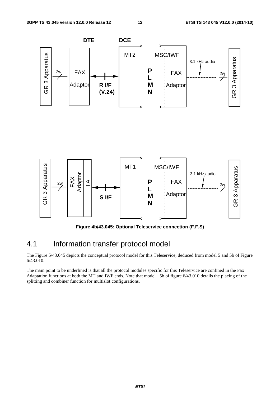

**Figure 4b/43.045: Optional Teleservice connection (F.F.S)** 

### 4.1 Information transfer protocol model

The Figure 5/43.045 depicts the conceptual protocol model for this Teleservice, deduced from model 5 and 5b of Figure 6/43.010.

The main point to be underlined is that all the protocol modules specific for this Teleservice are confined in the Fax Adaptation functions at both the MT and IWF ends. Note that model 5b of figure 6/43.010 details the placing of the splitting and combiner function for multislot configurations.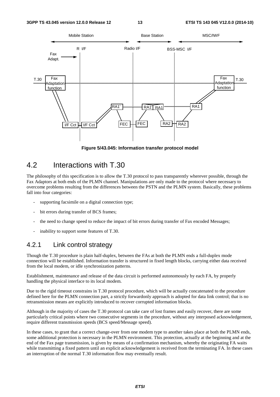

**Figure 5/43.045: Information transfer protocol model** 

### 4.2 Interactions with T.30

The philosophy of this specification is to allow the T.30 protocol to pass transparently wherever possible, through the Fax Adaptors at both ends of the PLMN channel. Manipulations are only made to the protocol where necessary to overcome problems resulting from the differences between the PSTN and the PLMN system. Basically, these problems fall into four categories:

- supporting facsimile on a digital connection type;
- bit errors during transfer of BCS frames:
- the need to change speed to reduce the impact of bit errors during transfer of Fax encoded Messages;
- inability to support some features of T.30.

#### 4.2.1 Link control strategy

Though the T.30 procedure is plain half-duplex, between the FAs at both the PLMN ends a full-duplex mode connection will be established. Information transfer is structured in fixed length blocks, carrying either data received from the local modem, or idle synchronization patterns.

Establishment, maintenance and release of the data circuit is performed autonomously by each FA, by properly handling the physical interface to its local modem.

Due to the rigid timeout constrains in T.30 protocol procedure, which will be actually concatenated to the procedure defined here for the PLMN connection part, a strictly forwardonly approach is adopted for data link control; that is no retransmission means are explicitly introduced to recover corrupted information blocks.

Although in the majority of cases the T.30 protocol can take care of lost frames and easily recover, there are some particularly critical points where two consecutive segments in the procedure, without any interposed acknowledgement, require different transmission speeds (BCS speed/Message speed).

In these cases, to grant that a correct change-over from one modem type to another takes place at both the PLMN ends, some additional protection is necessary in the PLMN environment. This protection, actually at the beginning and at the end of the Fax page transmission, is given by means of a confirmation mechanism, whereby the originating FA waits while transmitting a fixed pattern until an explicit acknowledgement is received from the terminating FA. In these cases an interruption of the normal T.30 information flow may eventually result.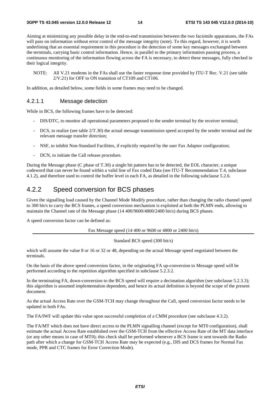Aiming at minimizing any possible delay in the end-to-end transmission between the two facsimile apparatuses, the FAs will pass on information without error control of the message integrity (note). To this regard, however, it is worth underlining that an essential requirement in this procedure is the detection of some key messages exchanged between the terminals, carrying basic control information. Hence, in parallel to the primary information passing process, a continuous monitoring of the information flowing across the FA is necessary, to detect these messages, fully checked in their logical integrity.

NOTE: All V.21 modems in the FAs shall use the faster response time provided by ITU-T Rec. V.21 (see table 2/V.21) for OFF to ON transition of CT109 and CT106.

In addition, as detailed below, some fields in some frames may need to be changed.

#### 4.2.1.1 Message detection

While in BCS, the following frames have to be detected:

- DIS/DTC, to monitor all operational parameters proposed to the sender terminal by the receiver terminal;
- DCS, to realize (see table  $2/T.30$ ) the actual message transmission speed accepted by the sender terminal and the relevant message transfer direction;
- NSF, to inhibit Non-Standard Facilities, if explicitly required by the user Fax Adaptor configuration;
- DCN, to initiate the Call release procedure.

During the Message phase (C phase of T.30) a single bit pattern has to be detected, the EOL character, a unique codeword that can never be found within a valid line of Fax coded Data (see ITU-T Recommendation T.4, subclause 4.1.2), and therefore used to control the buffer level in each FA, as detailed in the following subclause 5.2.6.

### 4.2.2 Speed conversion for BCS phases

Given the signalling load caused by the Channel Mode Modify procedure, rather than changing the radio channel speed to 300 bit/s to carry the BCS frames, a speed conversion mechanism is exploited at both the PLMN ends, allowing to maintain the Channel rate of the Message phase (14 400/9600/4800/2400 bit/s) during BCS phases.

A speed conversion factor can be defined as:

Fax Message speed (14 400 or 9600 or 4800 or 2400 bit/s)

Standard BCS speed (300 bit/s)

which will assume the value 8 or 16 or 32 or 48, depending on the actual Message speed negotiated between the terminals.

On the basis of the above speed conversion factor, in the originating FA up-conversion to Message speed will be performed according to the repetition algorithm specified in subclause 5.2.3.2.

In the terminating FA, down-conversion to the BCS speed will require a decimation algorithm (see subclause 5.2.3.3); this algorithm is assumed implementation dependent, and hence its actual definition is beyond the scope of the present document.

As the actual Access Rate over the GSM-TCH may change throughout the Call, speed conversion factor needs to be updated in both FAs.

The FA/IWF will update this value upon successful completion of a CMM procedure (see subclause 4.3.2).

The FA/MT which does not have direct access to the PLMN signalling channel (except for MT0 configuration), shall estimate the actual Access Rate established over the GSM-TCH from the effective Access Rate of the MT data interface (or any other means in case of MT0); this check shall be performed whenever a BCS frame is sent towards the Radio path after which a change for GSM-TCH Access Rate may be expected (e.g., DIS and DCS frames for Normal Fax mode, PPR and CTC frames for Error Correction Mode).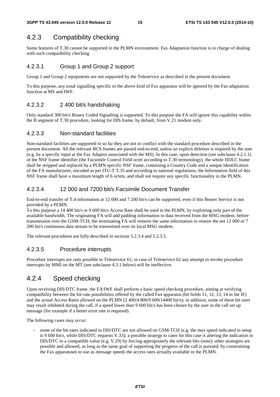### 4.2.3 Compatibility checking

Some features of T.30 cannot be supported in the PLMN environment. Fax Adaptation function is in charge of dealing with such compatibility checking.

#### 4.2.3.1 Group 1 and Group 2 support

Group 1 and Group 2 equipments are not supported by the Teleservice as described in the present document.

To this purpose, any tonal signalling specific to the above kind of Fax apparatus will be ignored by the Fax adaptation function at MS and IWF.

#### 4.2.3.2 2 400 bit/s handshaking

Only standard 300 bit/s Binary Coded Signalling is supported. To this purpose the FA will ignore this capability within the B segment of T.30 procedure, looking for DIS frame, by default, from V.21 modem only.

#### 4.2.3.3 Non-standard facilities

Non-standard facilities are supported in so far they are not in conflict with the standard procedure described in the present document. All the relevant BCS frames are passed end-to-end, unless an explicit deletion is required by the user (e.g. by a specific input at the Fax Adaptor associated with the MS). In this case, upon detection (see subclause 4.2.1.1) of the NSF frame identifier (the Facsimile Control Field octet according to T.30 terminology), the whole HDLC frame shall be stripped and replaced by a PLMN specific NSF frame, containing a Country Code and a unique identification of the FA manufacturer, encoded as per ITU-T T.35 and according to national regulations; the Information field of this NSF frame shall have a maximum length of 6 octets, and shall not require any specific functionality in the PLMN.

#### 4.2.3.4 12 000 and 7200 bit/s Facsimile Document Transfer

End-to-end transfer of T.4 information at 12 000 and 7 200 bit/s can be supported, even if this Bearer Service is not provided by a PLMN.

To this purpose a 14 400 bit/s or 9 600 bit/s Access Rate shall be used in the PLMN, by exploiting only part of the available bandwidth. The originating FA will add padding information to data received from the MSG modem, before transmission over the GSM-TCH; the terminating FA will remove the same information to restore the net 12 000 or 7 200 bit/s continuous data stream to be transmitted over its local MSG modem.

The relevant procedures are fully described in sections 5.2.3.4 and 5.2.3.5.

#### 4.2.3.5 Procedure interrupts

Procedure interrupts are only possible in Teleservice 61; in case of Teleservice 62 any attempt to invoke procedure interrupts by MMI on the MT (see subclause 4.3.1 below) will be ineffective.

### 4.2.4 Speed checking

Upon receiving DIS/DTC frame, the FA/IWF shall perform a basic speed checking procedure, aiming at verifying compatibility between the bit-rate possibilities offered by the called Fax apparatus (bit fields 11, 12, 13, 14 in the IF) and the actual Access Rates allowed on the PLMN (2 400/4 800/9 600/14400 bit/s); in addition, some of these bit rates may result inhibited during the call, if a speed lower than 9 600 bit/s has been chosen by the user in the call set up message (for example if a better error rate is required).

The following cases may occur:

some of the bit-rates indicated in DIS/DTC are not allowed on GSM-TCH (e.g. the max speed indicated in setup is 9 600 bit/s, while DIS/DTC requests V.33); a possible strategy to cater for this case is altering the indication in DIS/DTC to a compatible value (e.g. V.29) by forcing appropriately the relevant bits (note); other strategies are possible and allowed, as long as the same goal of supporting the progress of the call is pursued, by constraining the Fax apparatuses to use as message speeds the access rates actually available in the PLMN.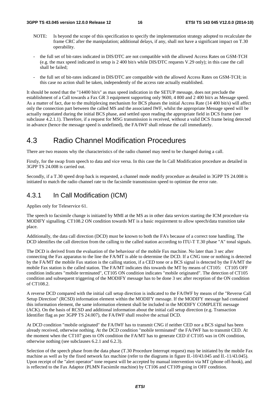- NOTE: Is beyond the scope of this specification to specify the implementation strategy adopted to recalculate the frame CRC after the manipulation; additional delays, if any, shall not have a significant impact on T.30 operability.
- the full set of bit-rates indicated in DIS/DTC are not compatible with the allowed Access Rates on GSM-TCH (e.g. the max speed indicated in setup is 2 400 bit/s while DIS/DTC requests V.29 only); in this case the call shall be failed;
- the full set of bit-rates indicated in DIS/DTC are compatible with the allowed Access Rates on GSM-TCH; in this case no action shall be taken, independently of the access rate actually established.

It should be noted that the "14400 bit/s" as max speed indication in the SETUP message, does not preclude the establishment of a Call towards a Fax GR 3 equipment supporting only 9600, 4 800 and 2 400 bit/s as Message speed. As a matter of fact, due to the multiplexing mechanism for BCS phases the initial Access Rate (14 400 bit/s) will affect only the connection part between the called MS and the associated IWF, whilst the appropriate Message speed will be actually negotiated during the initial BCS phase, and settled upon reading the appropriate field in DCS frame (see subclause 4.2.1.1). Therefore, if a request for MSG transmission is received, without a valid DCS frame being detected in advance (hence the message speed is undefined), the FA/IWF shall release the call immediately.

### 4.3 Radio Channel Modification Procedures

There are two reasons why the characteristics of the radio channel may need to be changed during a call.

Firstly, for the swap from speech to data and vice versa. In this case the In Call Modification procedure as detailed in 3GPP TS 24.008 is carried out.

Secondly, if a T.30 speed drop back is requested, a channel mode modify procedure as detailed in 3GPP TS 24.008 is initiated to match the radio channel rate to the facsimile transmission speed to optimize the error rate.

### 4.3.1 In Call Modification (ICM)

Applies only for Teleservice 61.

The speech to facsimile change is initiated by MMI at the MS as in other data services starting the ICM procedure via MODIFY signalling. CT108.2 ON condition towards MT is a basic requirement to allow speech/data transition take place.

Additionally, the data call direction (DCD) must be known to both the FA's because of a correct tone handling. The DCD identifies the call direction from the calling to the called station according to ITU-T T.30 phase "A" tonal signals.

The DCD is derived from the evaluation of the behaviour of the mobile Fax machine. No later than 3 sec after connecting the Fax apparatus to the line the FA/MT is able to determine the DCD. If a CNG tone or nothing is detected by the FA/MT the mobile Fax station is the calling station, if a CED tone or a BCS signal is detected by the FA/MT the mobile Fax station is the called station. The FA/MT indicates this towards the MT by means of CT105: CT105 OFF condition indicates "mobile terminated", CT105 ON condition indicates "mobile originated". The detection of CT105 condition and subsequent triggering of the MODIFY message has to be done 3 sec after reception of the ON condition of CT108.2.

A reverse DCD compared with the initial call setup direction is indicated to the FA/IWF by means of the "Reverse Call Setup Direction" (RCSD) information element within the MODIFY message. If the MODIFY message had contained this information element, the same information element shall be included in the MODIFY COMPLETE message (ACK). On the basis of RCSD and additional information about the initial call setup direction (e.g. Transaction Identifier flag as per 3GPP TS 24.007), the FA/IWF shall resolve the actual DCD.

At DCD condition "mobile originated" the FA/IWF has to transmit CNG if neither CED nor a BCS signal has been already received, otherwise nothing. At the DCD condition "mobile terminated" the FA/IWF has to transmit CED. At the moment when the CT107 goes to ON condition the FA/MT has to generate CED if CT105 was in ON condition, otherwise nothing (see subclauses 6.2.1 and 6.2.3).

Selection of the speech phase from the data phase (T.30 Procedure Interrupt request) may be initiated by the mobile Fax machine as well as by the fixed network fax machine (refer to the diagrams in figure II.-10/43.045 and II.-11/43.045). Upon receipt of the "alert operator" tone request will be accepted by manual intervention via MT (phone off-hook), and is reflected to the Fax Adaptor (PLMN Facsimile machine) by CT106 and CT109 going in OFF condition.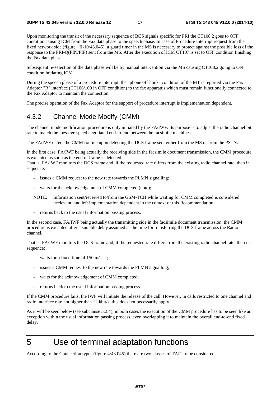Upon monitoring the transit of the necessary sequence of BCS signals specific for PRI the CT108.2 goes to OFF condition causing ICM from the Fax data phase to the speech phase. In case of Procedure Interrupt request from the fixed network side (figure II-10/43.045), a guard timer in the MS is necessary to protect against the possible loss of the response to the PRI-Q(PIN/PIP) sent from the MS. After the execution of ICM CT107 is set to OFF condition finishing the Fax data phase.

Subsequent re-selection of the data phase will be by manual intervention via the MS causing CT108.2 going to ON condition initiating ICM.

During the speech phase of a procedure interrupt, the "phone off-hook" condition of the MT is reported via the Fax Adaptor "R" interface (CT106/109 in OFF condition) to the fax apparatus which must remain functionally connected to the Fax Adaptor to maintain the connection.

The precise operation of the Fax Adaptor for the support of procedure interrupt is implementation dependent.

#### 4.3.2 Channel Mode Modify (CMM)

The channel mode modification procedure is only initiated by the FA/IWF. Its purpose is to adjust the radio channel bit rate to match the message speed negotiated end-to-end between the facsimile machines.

The FA/IWF enters the CMM routine upon detecting the DCS frame sent either from the MS or from the PSTN.

In the first case, FA/IWF being actually the receiving side in the facsimile document transmission, the CMM procedure is executed as soon as the end of frame is detected.

That is, FA/IWF monitors the DCS frame and, if the requested rate differs from the existing radio channel rate, then in sequence:

- issues a CMM request to the new rate towards the PLMN signalling;
- waits for the acknowledgement of CMM completed (note);
- NOTE: Information sent/received to/from the GSM-TCH while waiting for CMM completed is considered irrelevant, and left implementation dependent in the context of this Recommendation.
- returns back to the usual information passing process.

In the second case, FA/IWF being actually the transmitting side in the facsimile document transmission, the CMM procedure is executed after a suitable delay assumed as the time for transferring the DCS frame across the Radio channel.

That is, FA/IWF monitors the DCS frame and, if the requested rate differs from the existing radio channel rate, then in sequence:

- waits for a fixed time of 150 m/sec.;
- issues a CMM request to the new rate towards the PLMN signalling;
- waits for the acknowledgement of CMM completed;
- returns back to the usual information passing process.

If the CMM procedure fails, the IWF will initiate the release of the call. However, in calls restricted to one channel and radio interface rate not higher than 12 kbit/s, this does not necessarily apply.

As it will be seen below (see subclause 5.2.4), in both cases the execution of the CMM procedure has to be seen like an exception within the usual information passing process, even overlapping it to maintain the overall end-to-end fixed delay.

# 5 Use of terminal adaptation functions

According to the Connection types (figure 4/43.045) there are two classes of TAFs to be considered.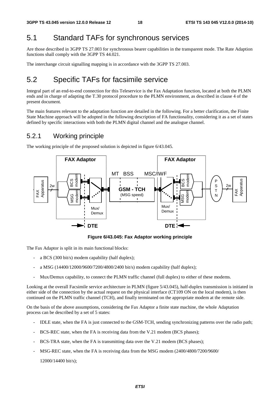### 5.1 Standard TAFs for synchronous services

Are those described in 3GPP TS 27.003 for synchronous bearer capabilities in the transparent mode. The Rate Adaption functions shall comply with the 3GPP TS 44.021.

The interchange circuit signalling mapping is in accordance with the 3GPP TS 27.003.

### 5.2 Specific TAFs for facsimile service

Integral part of an end-to-end connection for this Teleservice is the Fax Adaptation function, located at both the PLMN ends and in charge of adapting the T.30 protocol procedure to the PLMN environment, as described in clause 4 of the present document.

The main features relevant to the adaptation function are detailed in the following. For a better clarification, the Finite State Machine approach will be adopted in the following description of FA functionality, considering it as a set of states defined by specific interactions with both the PLMN digital channel and the analogue channel.

### 5.2.1 Working principle

The working principle of the proposed solution is depicted in figure 6/43.045.



**Figure 6/43.045: Fax Adaptor working principle** 

The Fax Adaptor is split in its main functional blocks:

- a BCS (300 bit/s) modem capability (half duplex);
- a MSG (14400/12000/9600/7200/4800/2400 bit/s) modem capability (half duplex);
- Mux/Demux capability, to connect the PLMN traffic channel (full duplex) to either of these modems.

Looking at the overall Facsimile service architecture in PLMN (figure 5/43.045), half-duplex transmission is initiated in either side of the connection by the actual request on the physical interface (CT109 ON on the local modem), is then continued on the PLMN traffic channel (TCH), and finally terminated on the appropriate modem at the remote side.

On the basis of the above assumptions, considering the Fax Adaptor a finite state machine, the whole Adaptation process can be described by a set of 5 states:

- IDLE state, when the FA is just connected to the GSM-TCH, sending synchronizing patterns over the radio path;
- BCS-REC state, when the FA is receiving data from the V.21 modem (BCS phases);
- BCS-TRA state, when the FA is transmitting data over the V.21 modem (BCS phases);
- MSG-REC state, when the FA is receiving data from the MSG modem (2400/4800/7200/9600/

12000/14400 bit/s);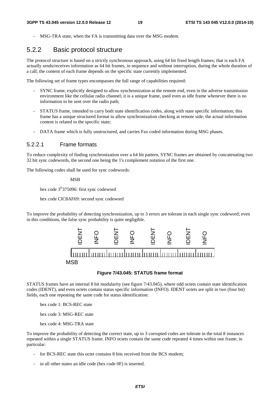MSG-TRA state, when the FA is transmitting data over the MSG modem.

### 5.2.2 Basic protocol structure

The protocol structure is based on a strictly synchronous approach, using 64 bit fixed length frames; that is each FA actually sends/receives information as 64 bit frames, in sequence and without interruption, during the whole duration of a call; the content of each frame depends on the specific state currently implemented.

The following set of frame types encompasses the full range of capabilities required:

- SYNC frame, explicitly designed to allow synchronization at the remote end, even in the adverse transmission environment like the cellular radio channel; it is a unique frame, used even as idle frame whenever there is no information to be sent over the radio path;
- STATUS frame, intended to carry both state identification codes, along with state specific information; this frame has a unique structured format to allow synchronization checking at remote side; the actual information content is related to the specific state;
- DATA frame which is fully unstructured, and carries Fax coded information during MSG phases.

#### 5.2.2.1 Frame formats

To reduce complexity of finding synchronization over a 64 bit pattern, SYNC frames are obtained by concatenating two 32 bit sync codewords, the second one being the 1's complement notation of the first one.

The following codes shall be used for sync codewords:

MSB

hex code 3<sup>E</sup>375096: first sync codeword

hex code ClC8AF69: second sync codeword

To improve the probability of detecting synchronization, up to 3 errors are tolerate in each single sync codeword; even in this conditions, the false sync probability is quite negligible.



#### **Figure 7/43.045: STATUS frame format**

STATUS frames have an internal 8 bit modularity (see figure 7/43.045), where odd octets contain state identification codes (IDENT), and even octets contain status specific information (INFO). IDENT octets are split in two (four bit) fields, each one repeating the same code for status identification:

hex code 1: BCS-REC state

hex code 3: MSG-REC state

hex code 4: MSG-TRA state

To improve the probability of detecting the correct state, up to 3 corrupted codes are tolerate in the total 8 instances repeated within a single STATUS frame. INFO octets contain the same code repeated 4 times within one frame; in particular:

- for BCS-REC state this octet contains 8 bits received from the BCS modem;
- in all other states an idle code (hex code 0F) is inserted.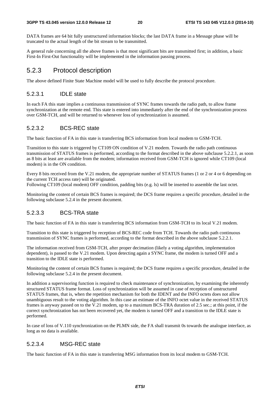DATA frames are 64 bit fully unstructured information blocks; the last DATA frame in a Message phase will be truncated to the actual length of the bit stream to be transmitted.

A general rule concerning all the above frames is that most significant bits are transmitted first; in addition, a basic First-In First-Out functionality will be implemented in the information passing process.

### 5.2.3 Protocol description

The above defined Finite State Machine model will be used to fully describe the protocol procedure.

#### 5.2.3.1 IDLE state

In each FA this state implies a continuous transmission of SYNC frames towards the radio path, to allow frame synchronization at the remote end. This state is entered into immediately after the end of the synchronization process over GSM-TCH, and will be returned to whenever loss of synchronization is assumed.

#### 5.2.3.2 BCS-REC state

The basic function of FA in this state is transferring BCS information from local modem to GSM-TCH.

Transition to this state is triggered by CT109 ON condition of V.21 modem. Towards the radio path continuous transmission of STATUS frames is performed, according to the format described in the above subclause 5.2.2.1, as soon as 8 bits at least are available from the modem; information received from GSM-TCH is ignored while CT109 (local modem) is in the ON condition.

Every 8 bits received from the V.21 modem, the appropriate number of STATUS frames (1 or 2 or 4 or 6 depending on the current TCH access rate) will be originated.

Following CT109 (local modem) OFF condition, padding bits (e.g. ls) will be inserted to assemble the last octet.

Monitoring the content of certain BCS frames is required; the DCS frame requires a specific procedure, detailed in the following subclause 5.2.4 in the present document.

#### 5.2.3.3 BCS-TRA state

The basic function of FA in this state is transferring BCS information from GSM-TCH to its local V.21 modem.

Transition to this state is triggered by reception of BCS-REC code from TCH. Towards the radio path continuous transmission of SYNC frames is performed, according to the format described in the above subclause 5.2.2.1.

The information received from GSM-TCH, after proper decimation (likely a voting algorithm, implementation dependent), is passed to the V.21 modem. Upon detecting again a SYNC frame, the modem is turned OFF and a transition to the IDLE state is performed.

Monitoring the content of certain BCS frames is required; the DCS frame requires a specific procedure, detailed in the following subclause 5.2.4 in the present document.

In addition a supervisoring function is required to check maintenance of synchronization, by examining the inherently structured STATUS frame format. Loss of synchronization will be assumed in case of reception of unstructured STATUS frames, that is, when the repetition mechanism for both the IDENT and the INFO octets does not allow unambiguous result to the voting algorithm. In this case an estimate of the INFO octet value in the received STATUS frames is anyway passed on to the V.21 modem, up to a maximum BCS-TRA duration of 2.5 sec.; at this point, if the correct synchronization has not been recovered yet, the modem is turned OFF and a transition to the IDLE state is performed.

In case of loss of V.110 synchronization on the PLMN side, the FA shall transmit 0s towards the analogue interface, as long as no data is available.

#### 5.2.3.4 MSG-REC state

The basic function of FA in this state is transferring MSG information from its local modem to GSM-TCH.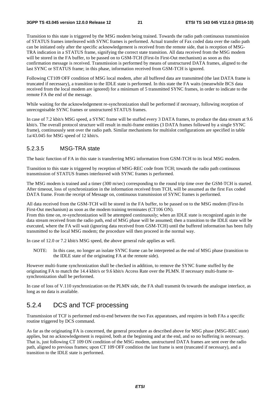Transition to this state is triggered by the MSG modem being trained. Towards the radio path continuous transmission of STATUS frames interleaved with SYNC frames is performed. Actual transfer of Fax coded data over the radio path can be initiated only after the specific acknowledgement is received from the remote side, that is reception of MSG-TRA indication in a STATUS frame, signifying the correct state transition. All data received from the MSG modem will be stored in the FA buffer, to be passed on to GSM-TCH (First-In First-Out mechanism) as soon as this confirmation message is received. Transmission is performed by means of unstructured DATA frames, aligned to the last SYNC or STATUS frame; in this phase, information received from GSM-TCH is ignored.

Following CT109 OFF condition of MSG local modem, after all buffered data are transmitted (the last DATA frame is truncated if necessary), a transition to the IDLE state is performed. In this state the FA waits (meanwhile BCS data received from the local modem are ignored) for a minimum of 5 transmitted SYNC frames, in order to indicate to the remote FA the end of the message.

While waiting for the acknowledgement re-synchronization shall be performed if necessary, following reception of unrecognisable SYNC frames or unstructured STATUS frames.

In case of 7.2 kbit/s MSG speed, a SYNC frame will be stuffed every 3 DATA frames, to produce the data stream at 9.6 kbit/s. The overall protocol structure will result in multi-frame entities (3 DATA frames followed by a single SYNC frame), continuously sent over the radio path. Similar mechanisms for multislot configurations are specified in table 1a/43.045 for MSG speed of 12 kbit/s.

#### 5.2.3.5 MSG-TRA state

The basic function of FA in this state is transferring MSG information from GSM-TCH to its local MSG modem.

Transition to this state is triggered by reception of MSG-REC code from TCH; towards the radio path continuous transmission of STATUS frames interleaved with SYNC frames is performed.

The MSG modem is trained and a timer (300 m/sec) corresponding to the round trip time over the GSM-TCH is started. After timeout, loss of synchronization in the information received from TCH, will be assumed as the first Fax coded DATA frame. From the receipt of Message on, continuous transmission of SYNC frames is performed.

All data received from the GSM-TCH will be stored in the FA buffer, to be passed on to the MSG modem (First-In First-Out mechanism) as soon as the modem training terminates (CT106 ON).

From this time on, re-synchronization will be attempted continuously; when an IDLE state is recognized again in the data stream received from the radio path, end of MSG phase will be assumed; then a transition to the IDLE state will be executed, where the FA will wait (ignoring data received from GSM-TCH) until the buffered information has been fully transmitted to the local MSG modem; the procedure will then proceed in the normal way.

In case of 12.0 or 7.2 kbit/s MSG speed, the above general rule applies as well.

NOTE: In this case, no longer an isolate SYNC frame can be interpreted as the end of MSG phase (transition to the IDLE state of the originating FA at the remote side).

However multi-frame synchronization shall be checked in addition, to remove the SYNC frame stuffed by the originating FA to match the 14.4 kbit/s or 9.6 kbit/s Access Rate over the PLMN. If necessary multi-frame resynchronization shall be performed.

In case of loss of V.110 synchronization on the PLMN side, the FA shall transmit 0s towards the analogue interface, as long as no data is available.

### 5.2.4 DCS and TCF processing

Transmission of TCF is performed end-to-end between the two Fax apparatuses, and requires in both FAs a specific routine triggered by DCS command.

As far as the originating FA is concerned, the general procedure as described above for MSG phase (MSG-REC state) applies, but no acknowledgement is required, both at the beginning and at the end, and so no buffering is necessary. That is, just following CT 109 ON condition of the MSG modem, unstructured DATA frames are sent over the radio path, aligned to previous frames; upon CT 109 OFF condition the last frame is sent (truncated if necessary), and a transition to the IDLE state is performed.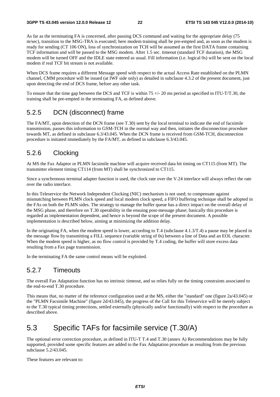As far as the terminating FA is concerned, after passing DCS command and waiting for the appropriate delay (75 m/sec), transition to the MSG-TRA is executed; here modem training shall be pre-empted and, as soon as the modem is ready for sending (CT 106 ON), loss of synchronization on TCH will be assumed as the first DATA frame containing TCF information and will be passed to the MSG modem. After 1.5 sec. timeout (standard TCF duration), the MSG modem will be turned OFF and the IDLE state entered as usual. Fill information (i.e. logical 0s) will be sent on the local modem if real TCF bit stream is not available.

When DCS frame requires a different Message speed with respect to the actual Access Rate established on the PLMN channel, CMM procedure will be issued (at IWF side only) as detailed in subclause 4.3.2 of the present document, just upon detecting the end of DCS frame, before any other task.

To ensure that the time gap between the DCS and TCF is within  $75 +/20$  ms period as specified in ITU-T/T.30, the training shall be pre-empted in the terminating FA, as defined above.

### 5.2.5 DCN (disconnect) frame

The FA/MT, upon detection of the DCN frame (see T.30) sent by the local terminal to indicate the end of facsimile transmission, passes this information to GSM-TCH in the normal way and then, initiates the disconnection procedure towards MT, as defined in subclause 6.3/43.045. When the DCN frame is received from GSM-TCH, disconnection procedure is initiated immediately by the FA/MT, as defined in subclause 6.3/43.045.

### 5.2.6 Clocking

At MS the Fax Adaptor or PLMN facsimile machine will acquire received data bit timing on CT115 (from MT). The transmitter element timing CT114 (from MT) shall be synchronized to CT115.

Since a synchronous terminal adapter function is used, the clock rate over the V.24 interface will always reflect the rate over the radio interface.

In this Teleservice the Network Independent Clocking (NIC) mechanism is not used; to compensate against mismatching between PLMN clock speed and local modem clock speed, a FIFO buffering technique shall be adopted in the FAs on both the PLMN sides. The strategy to manage the buffer queue has a direct impact on the overall delay of the MSG phase, and therefore on T.30 operability in the ensuing post-message phase; basically this procedure is regarded as implementation dependent, and hence is beyond the scope of the present document. A possible implementation is described below, aiming at minimizing the addition delay.

In the originating FA, when the modem speed is lower, according to T.4 (subclause 4.1.3/T.4) a pause may be placed in the message flow by transmitting a FILL sequence (variable string of 0s) between a line of Data and an EOL character. When the modem speed is higher, as no flow control is provided by T.4 coding, the buffer will store excess data resulting from a Fax page transmission.

In the terminating FA the same control means will be exploited.

#### 5.2.7 Timeouts

The overall Fax Adaptation function has no intrinsic timeout, and so relies fully on the timing constraints associated to the end-to-end T.30 procedure.

This means that, no matter of the reference configuration used at the MS, either the "standard" one (figure 2a/43.045) or the "PLMN Facsimile Machine" (figure 2d/43.045), the progress of the Call for this Teleservice will be merely subject to the T.30 typical timing protections, settled externally (physically and/or functionally) with respect to the procedure as described above.

### 5.3 Specific TAFs for facsimile service (T.30/A)

The optional error correction procedure, as defined in ITU-T T.4 and T.30 (annex A) Recommendations may be fully supported, provided some specific features are added to the Fax Adaptation procedure as resulting from the previous subclause 5.2/43.045.

These features are relevant to: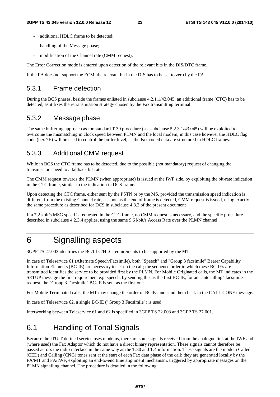- additional HDLC frame to be detected:
- handling of the Message phase;
- modification of the Channel rate (CMM request);

The Error Correction mode is entered upon detection of the relevant bits in the DIS/DTC frame.

If the FA does not support the ECM, the relevant bit in the DIS has to be set to zero by the FA.

#### 5.3.1 Frame detection

During the BCS phases, beside the frames enlisted in subclause 4.2.1.1/43.045, an additional frame (CTC) has to be detected, as it fixes the retransmission strategy chosen by the Fax transmitting terminal.

#### 5.3.2 Message phase

The same buffering approach as for standard T.30 procedure (see subclause 5.2.3.1/43.045) will be exploited to overcome the mismatching in clock speed between PLMN and the local modem; in this case however the HDLC flag code (hex 7E) will be used to control the buffer level, as the Fax coded data are structured in HDLC frames.

### 5.3.3 Additional CMM request

While in BCS the CTC frame has to be detected, due to the possible (not mandatory) request of changing the transmission speed to a fallback bit-rate.

The CMM request towards the PLMN (when appropriate) is issued at the IWF side, by exploiting the bit-rate indication in the CTC frame, similar to the indication in DCS frame.

Upon detecting the CTC frame, either sent by the PSTN or by the MS, provided the transmission speed indication is different from the existing Channel rate, as soon as the end of frame is detected, CMM request is issued, using exactly the same procedure as described for DCS in subclause 4.3.2 of the present document

If a 7,2 kbit/s MSG speed is requested in the CTC frame, no CMM request is necessary, and the specific procedure described in subclause 4.2.3.4 applies, using the same 9,6 kbit/s Access Rate over the PLMN channel.

# 6 Signalling aspects

3GPP TS 27.003 identifies the BC/LLC/HLC requirements to be supported by the MT.

In case of Teleservice 61 (Alternate Speech/Facsimile), both "Speech" and "Group 3 facsimile" Bearer Capability Information Elements (BC-IE) are necessary to set up the call; the sequence order in which these BC-IEs are transmitted identifies the service to be provided first by the PLMN. For Mobile Originated calls, the MT indicates in the SETUP message the first requirement e.g. speech, by sending this as the first BC-IE; for an "autocalling" facsimile request, the "Group 3 Facsimile" BC-IE is sent as the first one.

For Mobile Terminated calls, the MT may change the order of BCIEs and send them back in the CALL CONF message.

In case of Teleservice 62, a single BC-IE ("Group 3 Facsimile") is used.

Interworking between Teleservice 61 and 62 is specified in 3GPP TS 22.003 and 3GPP TS 27.001.

### 6.1 Handling of Tonal Signals

Because the ITU-T defined service uses modems, there are some signals received from the analogue link at the IWF and (where used) the Fax Adaptor which do not have a direct binary representation. These signals cannot therefore be passed across the radio interface in the same way as the T.30 and T.4 information. These signals are the modem Called (CED) and Calling (CNG) tones sent at the start of each Fax data phase of the call; they are generated locally by the FA/MT and FA/IWF, exploiting an end-to-end time alignment mechanism, triggered by appropriate messages on the PLMN signalling channel. The procedure is detailed in the following.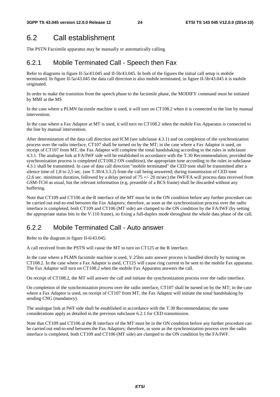# 6.2 Call establishment

The PSTN Facsimile apparatus may be manually or automatically calling.

### 6.2.1 Mobile Terminated Call - Speech then Fax

Refer to diagrams in figure II-5a/43.045 and II-5b/43.045. In both of the figures the initial call setup is mobile terminated. In figure II-5a/43.045 the data call direction is also mobile terminated, in figure II-5b/43.045 it is mobile originated.

In order to make the transition from the speech phase to the facsimile phase, the MODIFY command must be initiated by MMI at the MS

In the case where a PLMN facsimile machine is used, it will turn on CT108.2 when it is connected to the line by manual intervention.

In the case where a Fax Adaptor at MT is used, it will turn on CT108.2 when the mobile Fax Apparatus is connected to the line by manual intervention.

After determination of the data call direction and ICM (see subclause 4.3.1) and on completion of the synchronization process over the radio interface, CT107 shall be turned on by the MT; in the case where a Fax Adaptor is used, on receipt of CT107 from MT, the Fax Adaptor will complete the tonal handshaking according to the rules in subclause 4.3.1. The analogue link at FA/IWF side will be established in accordance with the T.30 Recommendation; provided the synchronization process is completed (CT108.2 ON condition), the appropriate tone according to the rules in subclause 4.3.1 shall be transmitted. In case of data call direction "mobile terminated" the CED tone shall be transmitted after a silence time of 1,8 to 2,5 sec. (see T.30/4.3.3.2) from the call being answered; during transmission of CED tone (2,6 sec. minimum duration, followed by a delay period of  $75 +/- 20$  m/sec) the IWF/FA will process data received from GSM-TCH as usual, but the relevant information (e.g. preamble of a BCS frame) shall be discarded without any buffering.

Note that CT109 and CT106 at the R interface of the MT must be in the ON condition before any further procedure can be carried out end-to-end between the Fax Adaptors; therefore, as soon as the synchronization process over the radio interface is completed, both CT109 and CT106 (MT side) are clamped to the ON condition by the FA/IWF (by setting the appropriate status bits in the V.110 frame), so fixing a full-duplex mode throughout the whole data phase of the call.

### 6.2.2 Mobile Terminated Call - Auto answer

Refer to the diagram in figure II-6/43.045.

A call received from the PSTN will cause the MT to turn on CT125 at the R interface.

In the case where a PLMN facsimile machine is used, V.25bis auto answer process is handled directly by turning on CT108.2. In the case where a Fax Adaptor is used, CT125 will cause ring current to be sent to the mobile Fax apparatus. The Fax Adaptor will turn on CT108.2 when the mobile Fax Apparatus answers the call.

On receipt of CT108.2, the MT will answer the call and initiate the synchronization process over the radio interface.

On completion of the synchronization process over the radio interface, CT107 shall be turned on by the MT; in the case where a Fax Adaptor is used, on receipt of CT107 from MT, the Fax Adaptor will initiate the tonal handshaking by sending CNG (mandatory).

The analogue link at IWF side shall be established in accordance with the T.30 Recommendation; the same considerations apply as detailed in the previous subclause 6.2.1 for CED transmission.

Note that CT109 and CT106 at the R interface of the MT must be in the ON condition before any further procedure can be carried out end-to-end between the Fax Adaptors; therefore, as soon as the synchronization process over the radio interface is completed, both CT109 and CT106 (MT side) are clamped to the ON condition by the FA/IWF.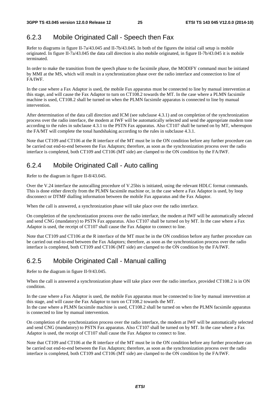### 6.2.3 Mobile Originated Call - Speech then Fax

Refer to diagrams in figure II-7a/43.045 and II-7b/43.045. In both of the figures the initial call setup is mobile originated. In figure II-7a/43.045 the data call direction is also mobile originated, in figure II-7b/43.045 it is mobile terminated.

In order to make the transition from the speech phase to the facsimile phase, the MODIFY command must be initiated by MMI at the MS, which will result in a synchronization phase over the radio interface and connection to line of FA/IWF.

In the case where a Fax Adaptor is used, the mobile Fax apparatus must be connected to line by manual intervention at this stage, and will cause the Fax Adaptor to turn on CT108.2 towards the MT. In the case where a PLMN facsimile machine is used, CT108.2 shall be turned on when the PLMN facsimile apparatus is connected to line by manual intervention.

After determination of the data call direction and ICM (see subclause 4.3.1) and on completion of the synchronization process over the radio interface, the modem at IWF will be automatically selected and send the appropriate modem tone according to the rules in subclause 4.3.1 to the PSTN Fax apparatus. Also CT107 shall be turned on by MT, whereupon the FA/MT will complete the tonal handshaking according to the rules in subclause 4.3.1.

Note that CT109 and CT106 at the R interface of the MT must be in the ON condition before any further procedure can be carried out end-to-end between the Fax Adaptors; therefore, as soon as the synchronization process over the radio interface is completed, both CT109 and CT106 (MT side) are clamped to the ON condition by the FA/IWF.

### 6.2.4 Mobile Originated Call - Auto calling

Refer to the diagram in figure II-8/43.045.

Over the V.24 interface the autocalling procedure of V.25bis is initiated, using the relevant HDLC format commands. This is done either directly from the PLMN facsimile machine or, in the case where a Fax Adaptor is used, by loop disconnect or DTMF dialling information between the mobile Fax apparatus and the Fax Adaptor.

When the call is answered, a synchronization phase will take place over the radio interface.

On completion of the synchronization process over the radio interface, the modem at IWF will be automatically selected and send CNG (mandatory) to PSTN Fax apparatus. Also CT107 shall be turned on by MT. In the case where a Fax Adaptor is used, the receipt of CT107 shall cause the Fax Adaptor to connect to line.

Note that CT109 and CT106 at the R interface of the MT must be in the ON condition before any further procedure can be carried out end-to-end between the Fax Adaptors; therefore, as soon as the synchronization process over the radio interface is completed, both CT109 and CT106 (MT side) are clamped to the ON condition by the FA/IWF.

### 6.2.5 Mobile Originated Call - Manual calling

Refer to the diagram in figure II-9/43.045.

When the call is answered a synchronization phase will take place over the radio interface, provided CT108.2 is in ON condition.

In the case where a Fax Adaptor is used, the mobile Fax apparatus must be connected to line by manual intervention at this stage, and will cause the Fax Adaptor to turn on CT108.2 towards the MT.

In the case where a PLMN facsimile machine is used, CT108.2 shall be turned on when the PLMN facsimile apparatus is connected to line by manual intervention.

On completion of the synchronization process over the radio interface, the modem at IWF will be automatically selected and send CNG (mandatory) to PSTN Fax apparatus. Also CT107 shall be turned on by MT. In the case where a Fax Adaptor is used, the receipt of CT107 shall cause the Fax Adaptor to connect to line.

Note that CT109 and CT106 at the R interface of the MT must be in the ON condition before any further procedure can be carried out end-to-end between the Fax Adaptors; therefore, as soon as the synchronization process over the radio interface is completed, both CT109 and CT106 (MT side) are clamped to the ON condition by the FA/IWF.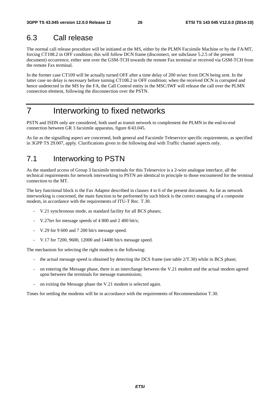### 6.3 Call release

The normal call release procedure will be initiated at the MS, either by the PLMN Facsimile Machine or by the FA/MT, forcing CT108.2 in OFF condition; this will follow DCN frame (disconnect, see subclause 5.2.5 of the present document) occurrence, either sent over the GSM-TCH towards the remote Fax terminal or received via GSM-TCH from the remote Fax terminal.

In the former case CT109 will be actually turned OFF after a time delay of 200 m/sec from DCN being sent. In the latter case no delay is necessary before turning CT108.2 in OFF condition; when the received DCN is corrupted and hence undetected in the MS by the FA, the Call Control entity in the MSC/IWF will release the call over the PLMN connection element, following the disconnection over the PSTN.

# 7 Interworking to fixed networks

PSTN and ISDN only are considered, both used as transit network to complement the PLMN in the end-to-end connection between GR 3 facsimile apparatus, figure 8/43.045.

As far as the signalling aspect are concerned, both general and Facsimile Teleservice specific requirements, as specified in 3GPP TS 29.007, apply. Clarifications given in the following deal with Traffic channel aspects only.

# 7.1 Interworking to PSTN

As the standard access of Group 3 facsimile terminals for this Teleservice is a 2-wire analogue interface, all the technical requirements for network interworking to PSTN are identical in principle to those encountered for the terminal connection to the MT.

The key functional block is the Fax Adaptor described in clauses 4 to 6 of the present document. As far as network interworking is concerned, the main function to be performed by such block is the correct managing of a composite modem, in accordance with the requirements of ITU-T Rec. T.30.

- V.21 synchronous mode, as standard facility for all BCS phases;
- V.27ter for message speeds of 4 800 and 2 400 bit/s;
- V.29 for 9 600 and 7 200 bit/s message speed.
- V.17 for 7200, 9600, 12000 and 14400 bit/s message speed.

The mechanism for selecting the right modem is the following:

- the actual message speed is obtained by detecting the DCS frame (see table  $2/T.30$ ) while in BCS phase;
- on entering the Message phase, there is an interchange between the V.21 modem and the actual modem agreed upon between the terminals for message transmission;
- on exiting the Message phase the V.21 modem is selected again.

Times for settling the modems will be in accordance with the requirements of Recommendation T.30.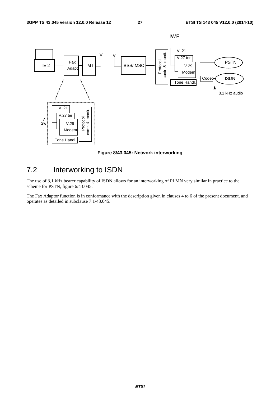

**Figure 8/43.045: Network interworking** 

# 7.2 Interworking to ISDN

The use of 3,1 kHz bearer capability of ISDN allows for an interworking of PLMN very similar in practice to the scheme for PSTN, figure 6/43.045.

The Fax Adaptor function is in conformance with the description given in clauses 4 to 6 of the present document, and operates as detailed in subclause 7.1/43.045.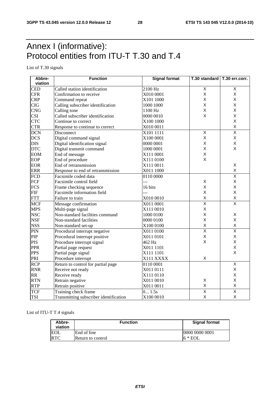# Annex I (informative): Protocol entities from ITU-T T.30 and T.4

List of T.30 signals

| Abbre-           | <b>Function</b>                        | <b>Signal format</b> | T.30 standard   T.30 err.corr. |                         |
|------------------|----------------------------------------|----------------------|--------------------------------|-------------------------|
| viation          |                                        |                      |                                |                         |
| <b>CED</b>       | Called station identification          | 2100 Hz              | $\overline{X}$                 | Χ                       |
| <b>CFR</b>       | Confirmation to receive                | X010 0001            | X                              | X                       |
| <b>CRP</b>       | Command repeat                         | X101 1000            | X                              | X                       |
| <b>CIG</b>       | Calling subscriber identification      | 1000 1000            | X                              | X                       |
| <b>CNG</b>       | Calling tone                           | 1100 Hz              | X                              | X                       |
| <b>CSI</b>       | Called subscriber identification       | 0000 0010            | X                              | X                       |
| <b>CTC</b>       | Continue to correct                    | X100 1000            |                                | X                       |
| <b>CTR</b>       | Response to continue to correct        | X010 0011            |                                | X                       |
| <b>DCN</b>       | Disconnect                             | X101 1111            | $\overline{X}$                 | $\overline{\mathsf{x}}$ |
| <b>DCS</b>       | Digital command signal                 | X100 0001            | X                              | Χ                       |
| <b>DIS</b>       | Digital identification signal          | 0000 0001            | X                              | Χ                       |
| <b>DTC</b>       | Digital transmit command               | 1000 0001            | X                              | X                       |
| <b>EOM</b>       | End of message                         | X111 0001            | X                              |                         |
| EOP              | End of procedure                       | X111 0100            | X                              |                         |
| <b>EOR</b>       | End of retransmission                  | X111 0011            |                                | Χ                       |
| <b>ERR</b>       | Response to end of retransmission      | X011 1000            |                                | X                       |
| <b>FCD</b>       | Facsimile coded data                   | 0110 0000            |                                | $\overline{\mathsf{x}}$ |
| FCF              | Facsimile control field                | ---                  | X                              | X                       |
| <b>FCS</b>       | Frame checking sequence                | 16 bits              | X                              | X                       |
| <b>FIF</b>       | Facsimile information field            |                      | X                              | X                       |
| <b>FTT</b>       | Failure to train                       | X010 0010            | X                              | $\sf X$                 |
| <b>MCF</b>       | Message confirmation                   | X011 0001            | $\overline{\mathsf{x}}$        | $\overline{\mathsf{x}}$ |
| <b>MPS</b>       | Multi-page signal                      | X111 0010            | $\mathsf X$                    |                         |
| <b>NSC</b>       | Non-standard facilities command        | 1000 0100            | X                              | X                       |
| <b>NSF</b>       | Non-standard facilities                | 0000 0100            | $\mathsf{x}$                   | X                       |
| <b>NSS</b>       | Non-standard set-up                    | X100 0100            | $\mathsf X$                    | X                       |
| PIN              | Procedural interrupt negative          | X011 0100            | $\overline{\mathsf{x}}$        | $\overline{\mathsf{x}}$ |
| PIP              | Procedural interrupt positive          | X011 0101            | X                              | X                       |
| <b>PIS</b>       | Procedure interrupt signal             | 462 Hz               | $\mathsf{X}$                   | X                       |
| <b>PPR</b>       | Partial page request                   | X011 1101            |                                | X                       |
| <b>PPS</b>       | Partial page signal                    | X111 1101            |                                | X                       |
| PRI              | Procedure interrupt                    | X111 XXXX            | X                              |                         |
| $\overline{RCP}$ | Return to control for partial page     | 0110 0001            |                                | $\overline{\mathsf{x}}$ |
| <b>RNR</b>       | Receive not ready                      | X011 0111            |                                | X                       |
| <b>RR</b>        | Receive ready                          | X111 0110            |                                | X                       |
| <b>RTN</b>       | Retrain negative                       | X011 0010            | X                              | X                       |
| <b>RTP</b>       | Retrain positive                       | X011 0011            | $\sf X$                        | $\pmb{\mathsf{X}}$      |
| <b>TCF</b>       | Training check frame                   | 0 1.5s               | $\overline{\mathsf{x}}$        | $\overline{\mathsf{x}}$ |
| <b>TSI</b>       | Transmitting subscriber identification | X100 0010            | $\mathsf X$                    | X                       |

#### List of ITU-T T.4 signals

| Abbre-<br>viation | <b>Function</b>   | <b>Signal format</b> |
|-------------------|-------------------|----------------------|
| <b>EOL</b>        | End of line       | 0000 0000 0001       |
| <b>RTC</b>        | Return to control | $6 * EOL$            |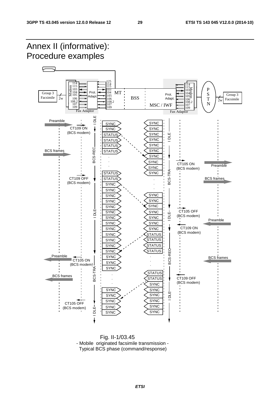

 Fig. II-1/03.45 - Mobile originated facsimile transmission - Typical BCS phase (command/response)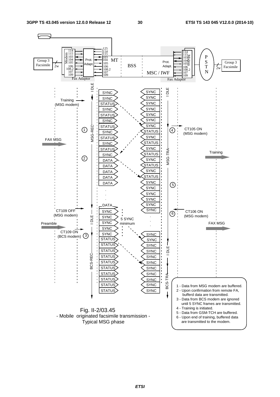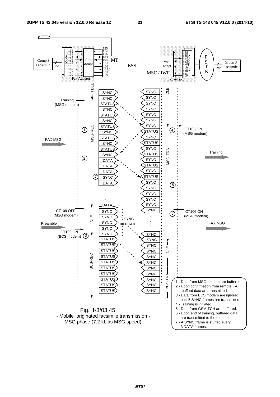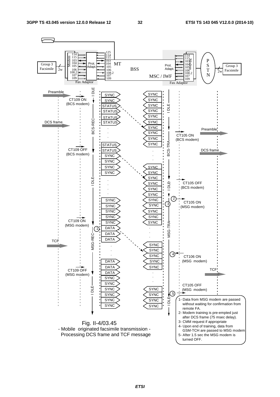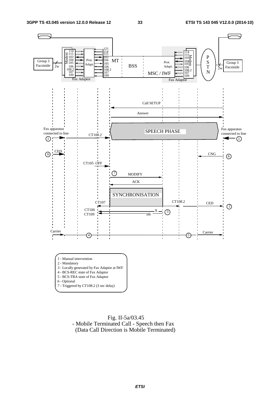

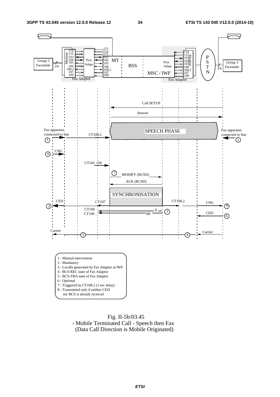

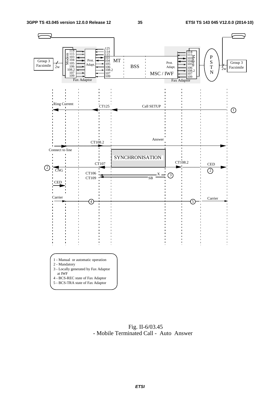

 Fig. II-6/03.45 - Mobile Terminated Call - Auto Answer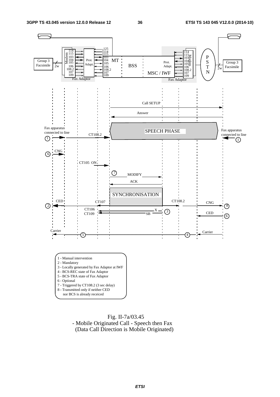

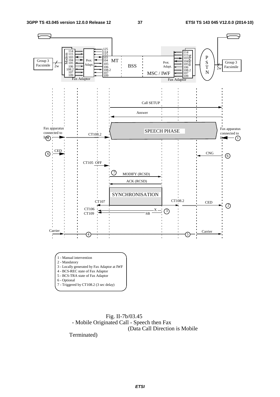

 Fig. II-7b/03.45 - Mobile Originated Call - Speech then Fax (Data Call Direction is Mobile

Terminated)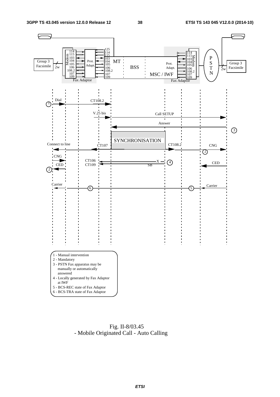

 Fig. II-8/03.45 - Mobile Originated Call - Auto Calling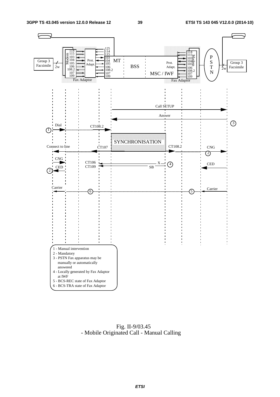

 Fig. II-9/03.45 - Mobile Originated Call - Manual Calling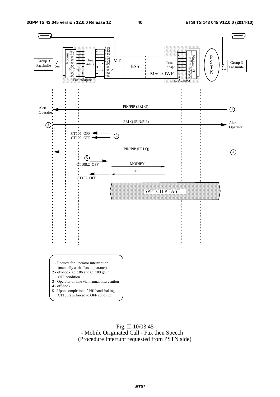

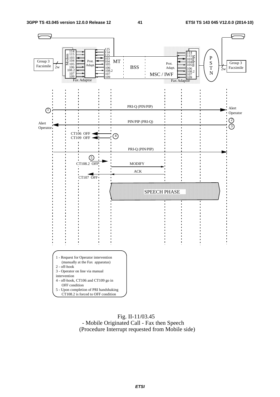

#### Fig. II-11/03.45 - Mobile Originated Call - Fax then Speech (Procedure Interrupt requested from Mobile side)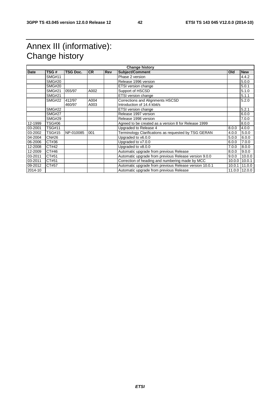# Annex III (informative): Change history

| <b>Date</b> | TSG#          | <b>TSG Doc.</b> | <b>CR</b> | <b>Rev</b> | <b>Subject/Comment</b>                                 | <b>Old</b> | <b>New</b>    |
|-------------|---------------|-----------------|-----------|------------|--------------------------------------------------------|------------|---------------|
|             | <b>SMG#11</b> |                 |           |            | Phase 2 version                                        |            | 4.4.2         |
|             | <b>SMG#20</b> |                 |           |            | Release 1996 version                                   |            | 5.0.0         |
|             | <b>SMG#20</b> |                 |           |            | <b>ETSI</b> version change                             |            | 5.0.1         |
|             | <b>SMG#21</b> | 055/97          | A002      |            | Support of HSCSD                                       |            | 5.1.0         |
|             | <b>SMG#21</b> |                 |           |            | ETSI version change                                    |            | 5.1.1         |
|             | <b>SMG#22</b> | 412/97          | A004      |            | <b>Corrections and Alignments HSCSD</b>                |            | 5.2.0         |
|             |               | 460/97          | A003      |            | Introduction of 14.4 kbit/s                            |            |               |
|             | <b>SMG#22</b> |                 |           |            | ETSI version change                                    |            | 5.2.1         |
|             | <b>SMG#27</b> |                 |           |            | Release 1997 version                                   |            | 6.0.0         |
|             | <b>SMG#29</b> |                 |           |            | Release 1998 version                                   |            | 7.0.0         |
| 12-1999     | <b>TSG#06</b> |                 |           |            | Agreed to be created as a version 8 for Release 1999   |            | 8.0.0         |
| 03-2001     | <b>TSG#11</b> |                 |           |            | Upgraded to Release 4                                  | 8.0.0      | 4.0.0         |
| 03-2002     | <b>TSG#15</b> | NP-010085       | 001       |            | Terminology Clarifications as requested by TSG GERAN   | 4.0.0      | 5.0.0         |
| 04-2004     | CN#26         |                 |           |            | Upgraded to v6.0.0                                     | 5.0.0      | 6.0.0         |
| 06-2006     | CT#36         |                 |           |            | Upgraded to v7.0.0                                     | 6.0.0      | 7.0.0         |
| 12-2008     | CT#42         |                 |           |            | Upgraded to v8.0.0                                     | 7.0.0      | 8.0.0         |
| 12-2009     | CT#46         |                 |           |            | Automatic upgrade from previous Release                | 8.0.0      | 9.0.0         |
| 03-2011     | CT#51         |                 |           |            | Automatic upgrade from previous Release version 9.0.0  | 9.0.0      | 10.0.0        |
| 03-2011     | CT#51         |                 |           |            | Correction of heading and numbering made by MCC        | 10.0.0     | 10.0.1        |
| 09-2012     | CT#57         |                 |           |            | Automatic upgrade from previous Release version 10.0.1 | 10.0.1     | 11.0.0        |
| 2014-10     |               |                 |           |            | Automatic upgrade from previous Release                |            | 11.0.0 12.0.0 |